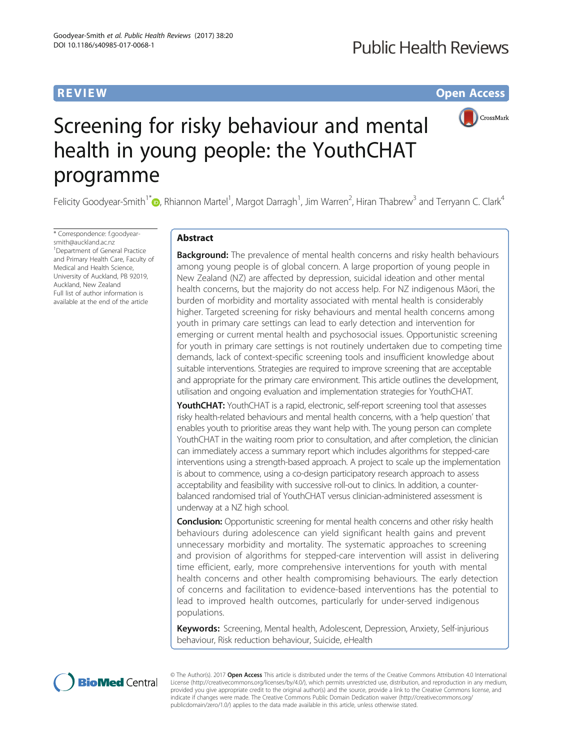# **REVIEW CONSTRUCTION CONSTRUCTION CONSTRUCTION CONSTRUCTS**



# Screening for risky behaviour and mental health in young people: the YouthCHAT programme

Felicity Goodyear-Smith<sup>1[\\*](http://orcid.org/0000-0002-6657-9401)</sup>�, Rhiannon Martel<sup>1</sup>, Margot Darragh<sup>1</sup>, Jim Warren<sup>2</sup>, Hiran Thabrew<sup>3</sup> and Terryann C. Clark<sup>4</sup>

\* Correspondence: [f.goodyear](mailto:f.goodyear-smith@auckland.ac.nz)[smith@auckland.ac.nz](mailto:f.goodyear-smith@auckland.ac.nz) <sup>1</sup>Department of General Practice and Primary Health Care, Faculty of Medical and Health Science, University of Auckland, PB 92019, Auckland, New Zealand Full list of author information is available at the end of the article

# Abstract

**Background:** The prevalence of mental health concerns and risky health behaviours among young people is of global concern. A large proportion of young people in New Zealand (NZ) are affected by depression, suicidal ideation and other mental health concerns, but the majority do not access help. For NZ indigenous Māori, the burden of morbidity and mortality associated with mental health is considerably higher. Targeted screening for risky behaviours and mental health concerns among youth in primary care settings can lead to early detection and intervention for emerging or current mental health and psychosocial issues. Opportunistic screening for youth in primary care settings is not routinely undertaken due to competing time demands, lack of context-specific screening tools and insufficient knowledge about suitable interventions. Strategies are required to improve screening that are acceptable and appropriate for the primary care environment. This article outlines the development, utilisation and ongoing evaluation and implementation strategies for YouthCHAT.

YouthCHAT: YouthCHAT is a rapid, electronic, self-report screening tool that assesses risky health-related behaviours and mental health concerns, with a 'help question' that enables youth to prioritise areas they want help with. The young person can complete YouthCHAT in the waiting room prior to consultation, and after completion, the clinician can immediately access a summary report which includes algorithms for stepped-care interventions using a strength-based approach. A project to scale up the implementation is about to commence, using a co-design participatory research approach to assess acceptability and feasibility with successive roll-out to clinics. In addition, a counterbalanced randomised trial of YouthCHAT versus clinician-administered assessment is underway at a NZ high school.

**Conclusion:** Opportunistic screening for mental health concerns and other risky health behaviours during adolescence can yield significant health gains and prevent unnecessary morbidity and mortality. The systematic approaches to screening and provision of algorithms for stepped-care intervention will assist in delivering time efficient, early, more comprehensive interventions for youth with mental health concerns and other health compromising behaviours. The early detection of concerns and facilitation to evidence-based interventions has the potential to lead to improved health outcomes, particularly for under-served indigenous populations.

Keywords: Screening, Mental health, Adolescent, Depression, Anxiety, Self-injurious behaviour, Risk reduction behaviour, Suicide, eHealth



© The Author(s). 2017 Open Access This article is distributed under the terms of the Creative Commons Attribution 4.0 International License ([http://creativecommons.org/licenses/by/4.0/\)](http://creativecommons.org/licenses/by/4.0/), which permits unrestricted use, distribution, and reproduction in any medium, provided you give appropriate credit to the original author(s) and the source, provide a link to the Creative Commons license, and indicate if changes were made. The Creative Commons Public Domain Dedication waiver ([http://creativecommons.org/](http://creativecommons.org/publicdomain/zero/1.0/) [publicdomain/zero/1.0/\)](http://creativecommons.org/publicdomain/zero/1.0/) applies to the data made available in this article, unless otherwise stated.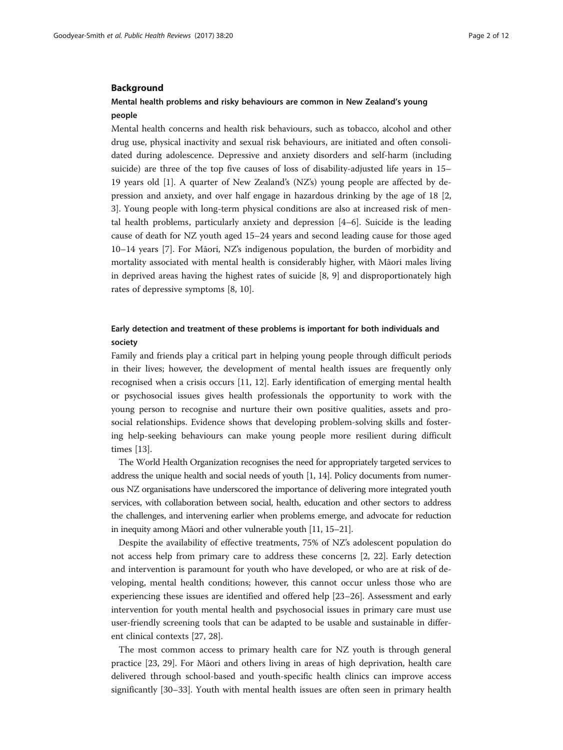# Background

# Mental health problems and risky behaviours are common in New Zealand's young people

Mental health concerns and health risk behaviours, such as tobacco, alcohol and other drug use, physical inactivity and sexual risk behaviours, are initiated and often consolidated during adolescence. Depressive and anxiety disorders and self-harm (including suicide) are three of the top five causes of loss of disability-adjusted life years in 15– 19 years old [[1\]](#page-9-0). A quarter of New Zealand's (NZ's) young people are affected by depression and anxiety, and over half engage in hazardous drinking by the age of 18 [[2](#page-9-0), [3\]](#page-9-0). Young people with long-term physical conditions are also at increased risk of mental health problems, particularly anxiety and depression [\[4](#page-9-0)–[6\]](#page-9-0). Suicide is the leading cause of death for NZ youth aged 15–24 years and second leading cause for those aged 10–14 years [[7](#page-9-0)]. For Māori, NZ's indigenous population, the burden of morbidity and mortality associated with mental health is considerably higher, with Māori males living in deprived areas having the highest rates of suicide [[8, 9](#page-9-0)] and disproportionately high rates of depressive symptoms [[8, 10\]](#page-9-0).

# Early detection and treatment of these problems is important for both individuals and society

Family and friends play a critical part in helping young people through difficult periods in their lives; however, the development of mental health issues are frequently only recognised when a crisis occurs [\[11](#page-9-0), [12](#page-9-0)]. Early identification of emerging mental health or psychosocial issues gives health professionals the opportunity to work with the young person to recognise and nurture their own positive qualities, assets and prosocial relationships. Evidence shows that developing problem-solving skills and fostering help-seeking behaviours can make young people more resilient during difficult times [[13\]](#page-9-0).

The World Health Organization recognises the need for appropriately targeted services to address the unique health and social needs of youth [\[1, 14](#page-9-0)]. Policy documents from numerous NZ organisations have underscored the importance of delivering more integrated youth services, with collaboration between social, health, education and other sectors to address the challenges, and intervening earlier when problems emerge, and advocate for reduction in inequity among Māori and other vulnerable youth [\[11](#page-9-0), [15](#page-9-0)–[21\]](#page-9-0).

Despite the availability of effective treatments, 75% of NZ's adolescent population do not access help from primary care to address these concerns [\[2](#page-9-0), [22](#page-9-0)]. Early detection and intervention is paramount for youth who have developed, or who are at risk of developing, mental health conditions; however, this cannot occur unless those who are experiencing these issues are identified and offered help [[23](#page-9-0)–[26](#page-9-0)]. Assessment and early intervention for youth mental health and psychosocial issues in primary care must use user-friendly screening tools that can be adapted to be usable and sustainable in different clinical contexts [[27, 28\]](#page-9-0).

The most common access to primary health care for NZ youth is through general practice [[23](#page-9-0), [29](#page-9-0)]. For Māori and others living in areas of high deprivation, health care delivered through school-based and youth-specific health clinics can improve access significantly [[30](#page-9-0)–[33\]](#page-10-0). Youth with mental health issues are often seen in primary health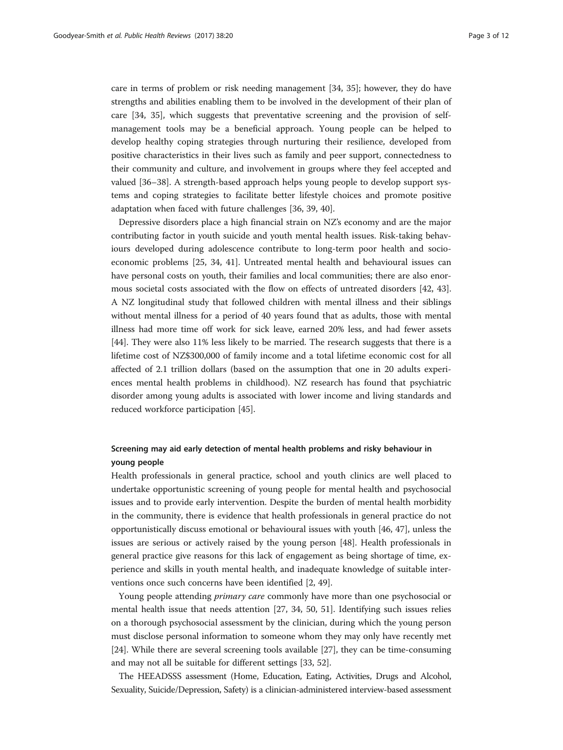care in terms of problem or risk needing management [\[34, 35](#page-10-0)]; however, they do have strengths and abilities enabling them to be involved in the development of their plan of care [[34](#page-10-0), [35](#page-10-0)], which suggests that preventative screening and the provision of selfmanagement tools may be a beneficial approach. Young people can be helped to develop healthy coping strategies through nurturing their resilience, developed from positive characteristics in their lives such as family and peer support, connectedness to their community and culture, and involvement in groups where they feel accepted and valued [\[36](#page-10-0)–[38\]](#page-10-0). A strength-based approach helps young people to develop support systems and coping strategies to facilitate better lifestyle choices and promote positive adaptation when faced with future challenges [\[36](#page-10-0), [39](#page-10-0), [40](#page-10-0)].

Depressive disorders place a high financial strain on NZ's economy and are the major contributing factor in youth suicide and youth mental health issues. Risk-taking behaviours developed during adolescence contribute to long-term poor health and socioeconomic problems [[25,](#page-9-0) [34, 41\]](#page-10-0). Untreated mental health and behavioural issues can have personal costs on youth, their families and local communities; there are also enormous societal costs associated with the flow on effects of untreated disorders [[42, 43](#page-10-0)]. A NZ longitudinal study that followed children with mental illness and their siblings without mental illness for a period of 40 years found that as adults, those with mental illness had more time off work for sick leave, earned 20% less, and had fewer assets [[44\]](#page-10-0). They were also 11% less likely to be married. The research suggests that there is a lifetime cost of NZ\$300,000 of family income and a total lifetime economic cost for all affected of 2.1 trillion dollars (based on the assumption that one in 20 adults experiences mental health problems in childhood). NZ research has found that psychiatric disorder among young adults is associated with lower income and living standards and reduced workforce participation [\[45\]](#page-10-0).

# Screening may aid early detection of mental health problems and risky behaviour in young people

Health professionals in general practice, school and youth clinics are well placed to undertake opportunistic screening of young people for mental health and psychosocial issues and to provide early intervention. Despite the burden of mental health morbidity in the community, there is evidence that health professionals in general practice do not opportunistically discuss emotional or behavioural issues with youth [[46](#page-10-0), [47](#page-10-0)], unless the issues are serious or actively raised by the young person [[48\]](#page-10-0). Health professionals in general practice give reasons for this lack of engagement as being shortage of time, experience and skills in youth mental health, and inadequate knowledge of suitable interventions once such concerns have been identified [[2,](#page-9-0) [49\]](#page-10-0).

Young people attending *primary care* commonly have more than one psychosocial or mental health issue that needs attention [[27](#page-9-0), [34](#page-10-0), [50, 51\]](#page-10-0). Identifying such issues relies on a thorough psychosocial assessment by the clinician, during which the young person must disclose personal information to someone whom they may only have recently met [[24\]](#page-9-0). While there are several screening tools available [[27](#page-9-0)], they can be time-consuming and may not all be suitable for different settings [[33](#page-10-0), [52](#page-10-0)].

The HEEADSSS assessment (Home, Education, Eating, Activities, Drugs and Alcohol, Sexuality, Suicide/Depression, Safety) is a clinician-administered interview-based assessment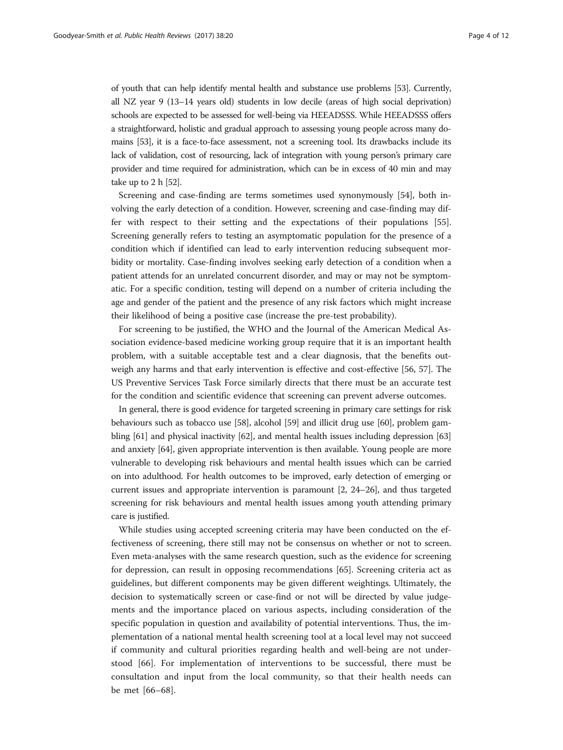of youth that can help identify mental health and substance use problems [\[53\]](#page-10-0). Currently, all NZ year 9 (13–14 years old) students in low decile (areas of high social deprivation) schools are expected to be assessed for well-being via HEEADSSS. While HEEADSSS offers a straightforward, holistic and gradual approach to assessing young people across many domains [[53](#page-10-0)], it is a face-to-face assessment, not a screening tool. Its drawbacks include its lack of validation, cost of resourcing, lack of integration with young person's primary care provider and time required for administration, which can be in excess of 40 min and may take up to 2 h [\[52](#page-10-0)].

Screening and case-finding are terms sometimes used synonymously [[54](#page-10-0)], both involving the early detection of a condition. However, screening and case-finding may differ with respect to their setting and the expectations of their populations [[55](#page-10-0)]. Screening generally refers to testing an asymptomatic population for the presence of a condition which if identified can lead to early intervention reducing subsequent morbidity or mortality. Case-finding involves seeking early detection of a condition when a patient attends for an unrelated concurrent disorder, and may or may not be symptomatic. For a specific condition, testing will depend on a number of criteria including the age and gender of the patient and the presence of any risk factors which might increase their likelihood of being a positive case (increase the pre-test probability).

For screening to be justified, the WHO and the Journal of the American Medical Association evidence-based medicine working group require that it is an important health problem, with a suitable acceptable test and a clear diagnosis, that the benefits outweigh any harms and that early intervention is effective and cost-effective [\[56, 57\]](#page-10-0). The US Preventive Services Task Force similarly directs that there must be an accurate test for the condition and scientific evidence that screening can prevent adverse outcomes.

In general, there is good evidence for targeted screening in primary care settings for risk behaviours such as tobacco use [[58\]](#page-10-0), alcohol [\[59\]](#page-10-0) and illicit drug use [\[60\]](#page-10-0), problem gambling [[61](#page-10-0)] and physical inactivity [\[62\]](#page-10-0), and mental health issues including depression [[63](#page-10-0)] and anxiety [\[64\]](#page-10-0), given appropriate intervention is then available. Young people are more vulnerable to developing risk behaviours and mental health issues which can be carried on into adulthood. For health outcomes to be improved, early detection of emerging or current issues and appropriate intervention is paramount [\[2](#page-9-0), [24](#page-9-0)–[26](#page-9-0)], and thus targeted screening for risk behaviours and mental health issues among youth attending primary care is justified.

While studies using accepted screening criteria may have been conducted on the effectiveness of screening, there still may not be consensus on whether or not to screen. Even meta-analyses with the same research question, such as the evidence for screening for depression, can result in opposing recommendations [[65\]](#page-10-0). Screening criteria act as guidelines, but different components may be given different weightings. Ultimately, the decision to systematically screen or case-find or not will be directed by value judgements and the importance placed on various aspects, including consideration of the specific population in question and availability of potential interventions. Thus, the implementation of a national mental health screening tool at a local level may not succeed if community and cultural priorities regarding health and well-being are not understood [\[66](#page-10-0)]. For implementation of interventions to be successful, there must be consultation and input from the local community, so that their health needs can be met [\[66](#page-10-0)–[68](#page-10-0)].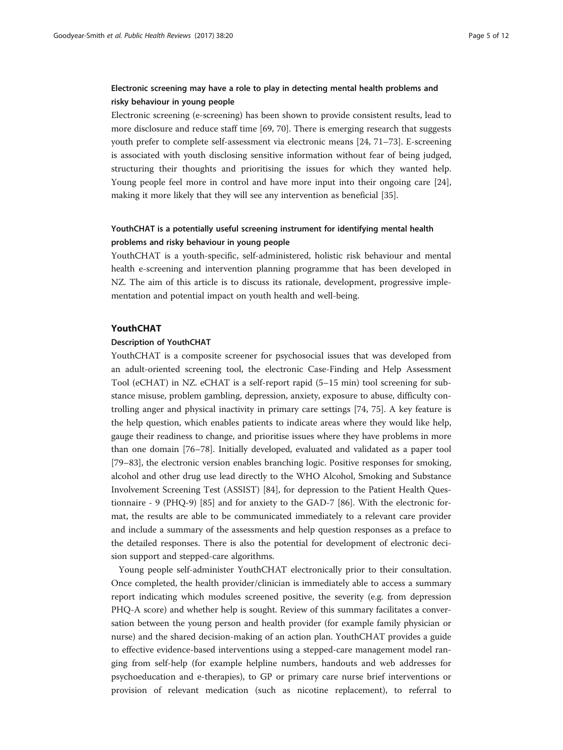# Electronic screening may have a role to play in detecting mental health problems and risky behaviour in young people

Electronic screening (e-screening) has been shown to provide consistent results, lead to more disclosure and reduce staff time [[69, 70\]](#page-11-0). There is emerging research that suggests youth prefer to complete self-assessment via electronic means [\[24](#page-9-0), [71](#page-11-0)–[73](#page-11-0)]. E-screening is associated with youth disclosing sensitive information without fear of being judged, structuring their thoughts and prioritising the issues for which they wanted help. Young people feel more in control and have more input into their ongoing care [[24](#page-9-0)], making it more likely that they will see any intervention as beneficial [\[35](#page-10-0)].

# YouthCHAT is a potentially useful screening instrument for identifying mental health problems and risky behaviour in young people

YouthCHAT is a youth-specific, self-administered, holistic risk behaviour and mental health e-screening and intervention planning programme that has been developed in NZ. The aim of this article is to discuss its rationale, development, progressive implementation and potential impact on youth health and well-being.

# YouthCHAT

# Description of YouthCHAT

YouthCHAT is a composite screener for psychosocial issues that was developed from an adult-oriented screening tool, the electronic Case-Finding and Help Assessment Tool (eCHAT) in NZ. eCHAT is a self-report rapid (5–15 min) tool screening for substance misuse, problem gambling, depression, anxiety, exposure to abuse, difficulty controlling anger and physical inactivity in primary care settings [[74](#page-11-0), [75\]](#page-11-0). A key feature is the help question, which enables patients to indicate areas where they would like help, gauge their readiness to change, and prioritise issues where they have problems in more than one domain [\[76](#page-11-0)–[78](#page-11-0)]. Initially developed, evaluated and validated as a paper tool [[79](#page-11-0)–[83](#page-11-0)], the electronic version enables branching logic. Positive responses for smoking, alcohol and other drug use lead directly to the WHO Alcohol, Smoking and Substance Involvement Screening Test (ASSIST) [\[84](#page-11-0)], for depression to the Patient Health Questionnaire - 9 (PHQ-9) [[85](#page-11-0)] and for anxiety to the GAD-7 [\[86](#page-11-0)]. With the electronic format, the results are able to be communicated immediately to a relevant care provider and include a summary of the assessments and help question responses as a preface to the detailed responses. There is also the potential for development of electronic decision support and stepped-care algorithms.

Young people self-administer YouthCHAT electronically prior to their consultation. Once completed, the health provider/clinician is immediately able to access a summary report indicating which modules screened positive, the severity (e.g. from depression PHQ-A score) and whether help is sought. Review of this summary facilitates a conversation between the young person and health provider (for example family physician or nurse) and the shared decision-making of an action plan. YouthCHAT provides a guide to effective evidence-based interventions using a stepped-care management model ranging from self-help (for example helpline numbers, handouts and web addresses for psychoeducation and e-therapies), to GP or primary care nurse brief interventions or provision of relevant medication (such as nicotine replacement), to referral to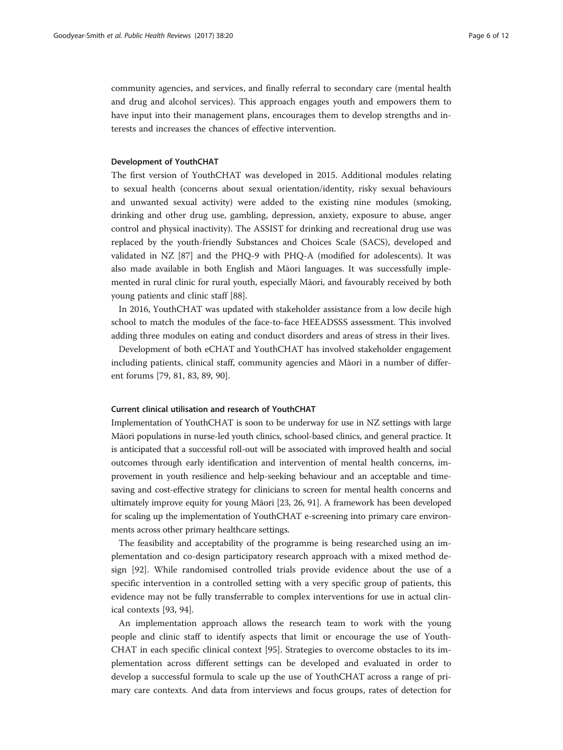community agencies, and services, and finally referral to secondary care (mental health and drug and alcohol services). This approach engages youth and empowers them to have input into their management plans, encourages them to develop strengths and interests and increases the chances of effective intervention.

# Development of YouthCHAT

The first version of YouthCHAT was developed in 2015. Additional modules relating to sexual health (concerns about sexual orientation/identity, risky sexual behaviours and unwanted sexual activity) were added to the existing nine modules (smoking, drinking and other drug use, gambling, depression, anxiety, exposure to abuse, anger control and physical inactivity). The ASSIST for drinking and recreational drug use was replaced by the youth-friendly Substances and Choices Scale (SACS), developed and validated in NZ [\[87](#page-11-0)] and the PHQ-9 with PHQ-A (modified for adolescents). It was also made available in both English and Māori languages. It was successfully implemented in rural clinic for rural youth, especially Māori, and favourably received by both young patients and clinic staff [[88](#page-11-0)].

In 2016, YouthCHAT was updated with stakeholder assistance from a low decile high school to match the modules of the face-to-face HEEADSSS assessment. This involved adding three modules on eating and conduct disorders and areas of stress in their lives.

Development of both eCHAT and YouthCHAT has involved stakeholder engagement including patients, clinical staff, community agencies and Māori in a number of different forums [[79](#page-11-0), [81](#page-11-0), [83](#page-11-0), [89](#page-11-0), [90](#page-11-0)].

# Current clinical utilisation and research of YouthCHAT

Implementation of YouthCHAT is soon to be underway for use in NZ settings with large Māori populations in nurse-led youth clinics, school-based clinics, and general practice. It is anticipated that a successful roll-out will be associated with improved health and social outcomes through early identification and intervention of mental health concerns, improvement in youth resilience and help-seeking behaviour and an acceptable and timesaving and cost-effective strategy for clinicians to screen for mental health concerns and ultimately improve equity for young Māori [\[23, 26](#page-9-0), [91\]](#page-11-0). A framework has been developed for scaling up the implementation of YouthCHAT e-screening into primary care environments across other primary healthcare settings.

The feasibility and acceptability of the programme is being researched using an implementation and co-design participatory research approach with a mixed method design [[92](#page-11-0)]. While randomised controlled trials provide evidence about the use of a specific intervention in a controlled setting with a very specific group of patients, this evidence may not be fully transferrable to complex interventions for use in actual clinical contexts [[93, 94\]](#page-11-0).

An implementation approach allows the research team to work with the young people and clinic staff to identify aspects that limit or encourage the use of Youth-CHAT in each specific clinical context [[95](#page-11-0)]. Strategies to overcome obstacles to its implementation across different settings can be developed and evaluated in order to develop a successful formula to scale up the use of YouthCHAT across a range of primary care contexts. And data from interviews and focus groups, rates of detection for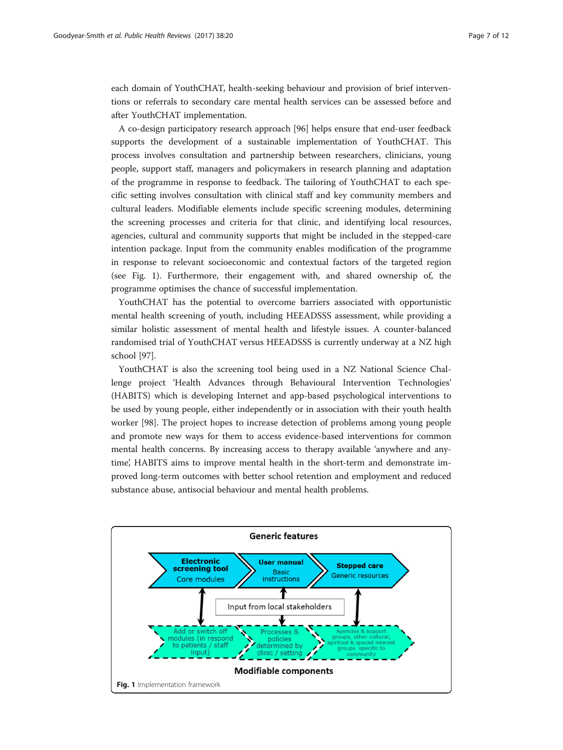each domain of YouthCHAT, health-seeking behaviour and provision of brief interventions or referrals to secondary care mental health services can be assessed before and after YouthCHAT implementation.

A co-design participatory research approach [[96](#page-11-0)] helps ensure that end-user feedback supports the development of a sustainable implementation of YouthCHAT. This process involves consultation and partnership between researchers, clinicians, young people, support staff, managers and policymakers in research planning and adaptation of the programme in response to feedback. The tailoring of YouthCHAT to each specific setting involves consultation with clinical staff and key community members and cultural leaders. Modifiable elements include specific screening modules, determining the screening processes and criteria for that clinic, and identifying local resources, agencies, cultural and community supports that might be included in the stepped-care intention package. Input from the community enables modification of the programme in response to relevant socioeconomic and contextual factors of the targeted region (see Fig. 1). Furthermore, their engagement with, and shared ownership of, the programme optimises the chance of successful implementation.

YouthCHAT has the potential to overcome barriers associated with opportunistic mental health screening of youth, including HEEADSSS assessment, while providing a similar holistic assessment of mental health and lifestyle issues. A counter-balanced randomised trial of YouthCHAT versus HEEADSSS is currently underway at a NZ high school [\[97\]](#page-11-0).

YouthCHAT is also the screening tool being used in a NZ National Science Challenge project 'Health Advances through Behavioural Intervention Technologies' (HABITS) which is developing Internet and app-based psychological interventions to be used by young people, either independently or in association with their youth health worker [[98\]](#page-11-0). The project hopes to increase detection of problems among young people and promote new ways for them to access evidence-based interventions for common mental health concerns. By increasing access to therapy available 'anywhere and anytime', HABITS aims to improve mental health in the short-term and demonstrate improved long-term outcomes with better school retention and employment and reduced substance abuse, antisocial behaviour and mental health problems.

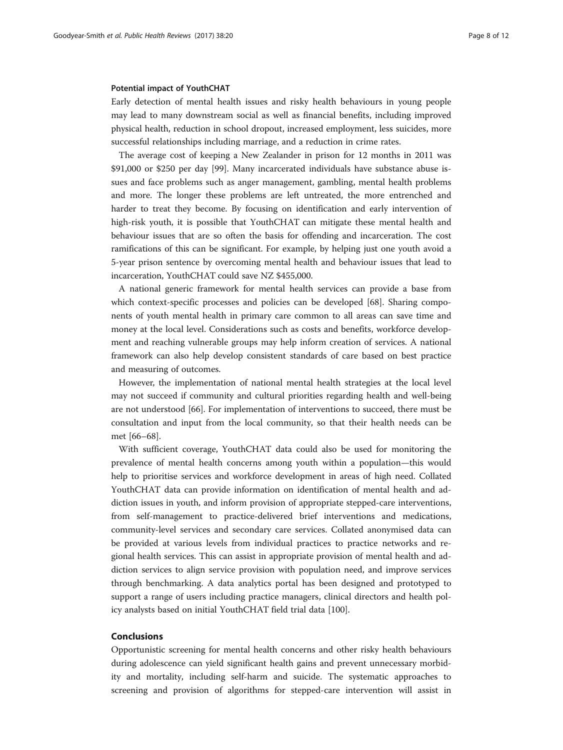# Potential impact of YouthCHAT

Early detection of mental health issues and risky health behaviours in young people may lead to many downstream social as well as financial benefits, including improved physical health, reduction in school dropout, increased employment, less suicides, more successful relationships including marriage, and a reduction in crime rates.

The average cost of keeping a New Zealander in prison for 12 months in 2011 was \$91,000 or \$250 per day [\[99\]](#page-11-0). Many incarcerated individuals have substance abuse issues and face problems such as anger management, gambling, mental health problems and more. The longer these problems are left untreated, the more entrenched and harder to treat they become. By focusing on identification and early intervention of high-risk youth, it is possible that YouthCHAT can mitigate these mental health and behaviour issues that are so often the basis for offending and incarceration. The cost ramifications of this can be significant. For example, by helping just one youth avoid a 5-year prison sentence by overcoming mental health and behaviour issues that lead to incarceration, YouthCHAT could save NZ \$455,000.

A national generic framework for mental health services can provide a base from which context-specific processes and policies can be developed [[68](#page-10-0)]. Sharing components of youth mental health in primary care common to all areas can save time and money at the local level. Considerations such as costs and benefits, workforce development and reaching vulnerable groups may help inform creation of services. A national framework can also help develop consistent standards of care based on best practice and measuring of outcomes.

However, the implementation of national mental health strategies at the local level may not succeed if community and cultural priorities regarding health and well-being are not understood [\[66](#page-10-0)]. For implementation of interventions to succeed, there must be consultation and input from the local community, so that their health needs can be met [[66](#page-10-0)–[68](#page-10-0)].

With sufficient coverage, YouthCHAT data could also be used for monitoring the prevalence of mental health concerns among youth within a population—this would help to prioritise services and workforce development in areas of high need. Collated YouthCHAT data can provide information on identification of mental health and addiction issues in youth, and inform provision of appropriate stepped-care interventions, from self-management to practice-delivered brief interventions and medications, community-level services and secondary care services. Collated anonymised data can be provided at various levels from individual practices to practice networks and regional health services. This can assist in appropriate provision of mental health and addiction services to align service provision with population need, and improve services through benchmarking. A data analytics portal has been designed and prototyped to support a range of users including practice managers, clinical directors and health policy analysts based on initial YouthCHAT field trial data [\[100\]](#page-11-0).

# Conclusions

Opportunistic screening for mental health concerns and other risky health behaviours during adolescence can yield significant health gains and prevent unnecessary morbidity and mortality, including self-harm and suicide. The systematic approaches to screening and provision of algorithms for stepped-care intervention will assist in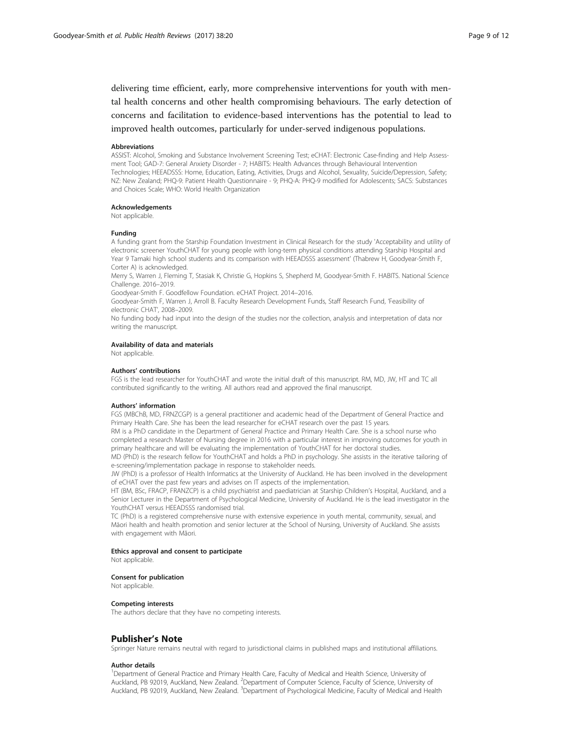delivering time efficient, early, more comprehensive interventions for youth with mental health concerns and other health compromising behaviours. The early detection of concerns and facilitation to evidence-based interventions has the potential to lead to improved health outcomes, particularly for under-served indigenous populations.

### Abbreviations

ASSIST: Alcohol, Smoking and Substance Involvement Screening Test; eCHAT: Electronic Case-finding and Help Assessment Tool; GAD-7: General Anxiety Disorder - 7; HABITS: Health Advances through Behavioural Intervention Technologies; HEEADSSS: Home, Education, Eating, Activities, Drugs and Alcohol, Sexuality, Suicide/Depression, Safety; NZ: New Zealand; PHQ-9: Patient Health Questionnaire - 9; PHQ-A: PHQ-9 modified for Adolescents; SACS: Substances and Choices Scale; WHO: World Health Organization

#### Acknowledgements

Not applicable.

#### Funding

A funding grant from the Starship Foundation Investment in Clinical Research for the study 'Acceptability and utility of electronic screener YouthCHAT for young people with long-term physical conditions attending Starship Hospital and Year 9 Tamaki high school students and its comparison with HEEADSSS assessment' (Thabrew H, Goodyear-Smith F, Corter A) is acknowledged.

Merry S, Warren J, Fleming T, Stasiak K, Christie G, Hopkins S, Shepherd M, Goodyear-Smith F. HABITS. National Science Challenge. 2016–2019.

Goodyear-Smith F. Goodfellow Foundation. eCHAT Project. 2014–2016.

Goodyear-Smith F, Warren J, Arroll B. Faculty Research Development Funds, Staff Research Fund, 'Feasibility of electronic CHAT', 2008–2009.

No funding body had input into the design of the studies nor the collection, analysis and interpretation of data nor writing the manuscript.

# Availability of data and materials

Not applicable.

#### Authors' contributions

FGS is the lead researcher for YouthCHAT and wrote the initial draft of this manuscript. RM, MD, JW, HT and TC all contributed significantly to the writing. All authors read and approved the final manuscript.

#### Authors' information

FGS (MBChB, MD, FRNZCGP) is a general practitioner and academic head of the Department of General Practice and Primary Health Care. She has been the lead researcher for eCHAT research over the past 15 years.

RM is a PhD candidate in the Department of General Practice and Primary Health Care. She is a school nurse who completed a research Master of Nursing degree in 2016 with a particular interest in improving outcomes for youth in primary healthcare and will be evaluating the implementation of YouthCHAT for her doctoral studies.

MD (PhD) is the research fellow for YouthCHAT and holds a PhD in psychology. She assists in the iterative tailoring of e-screening/implementation package in response to stakeholder needs.

JW (PhD) is a professor of Health Informatics at the University of Auckland. He has been involved in the development of eCHAT over the past few years and advises on IT aspects of the implementation.

HT (BM, BSc, FRACP, FRANZCP) is a child psychiatrist and paediatrician at Starship Children's Hospital, Auckland, and a Senior Lecturer in the Department of Psychological Medicine, University of Auckland. He is the lead investigator in the YouthCHAT versus HEEADSSS randomised trial.

TC (PhD) is a registered comprehensive nurse with extensive experience in youth mental, community, sexual, and Māori health and health promotion and senior lecturer at the School of Nursing, University of Auckland. She assists with engagement with Măori.

# Ethics approval and consent to participate

Not applicable.

### Consent for publication

Not applicable.

#### Competing interests

The authors declare that they have no competing interests.

#### Publisher's Note

Springer Nature remains neutral with regard to jurisdictional claims in published maps and institutional affiliations.

#### Author details

<sup>1</sup>Department of General Practice and Primary Health Care, Faculty of Medical and Health Science, University of Auckland, PB 92019, Auckland, New Zealand. <sup>2</sup>Department of Computer Science, Faculty of Science, University of Auckland, PB 92019, Auckland, New Zealand. <sup>3</sup>Department of Psychological Medicine, Faculty of Medical and Health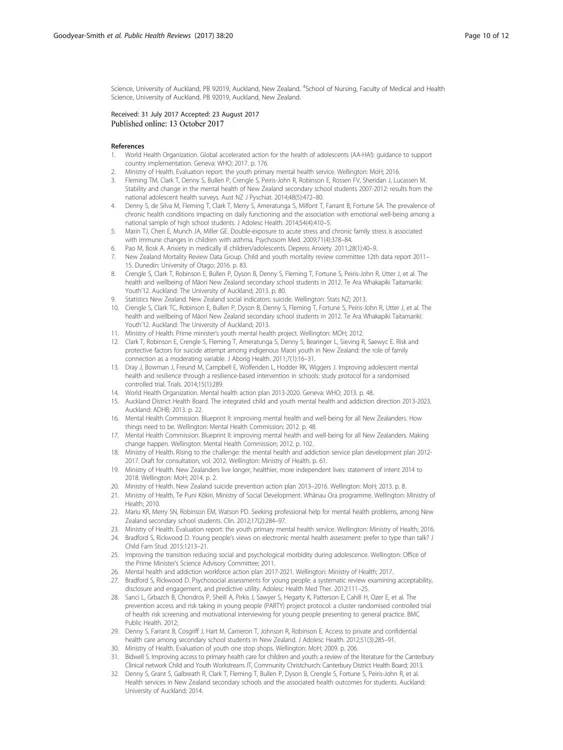<span id="page-9-0"></span>Science, University of Auckland, PB 92019, Auckland, New Zealand. <sup>4</sup>School of Nursing, Faculty of Medical and Health Science, University of Auckland, PB 92019, Auckland, New Zealand.

Received: 31 July 2017 Accepted: 23 August 2017

#### References

- 1. World Health Organization. Global accelerated action for the health of adolescents (AA-HA!): guidance to support country implementation. Geneva: WHO; 2017. p. 176.
- 2. Ministry of Health. Evaluation report: the youth primary mental health service. Wellington: MoH; 2016.
- 3. Fleming TM, Clark T, Denny S, Bullen P, Crengle S, Peiris-John R, Robinson E, Rossen FV, Sheridan J, Lucassen M. Stability and change in the mental health of New Zealand secondary school students 2007-2012: results from the national adolescent health surveys. Aust NZ J Pyschiat. 2014;48(5):472–80.
- 4. Denny S, de Silva M, Fleming T, Clark T, Merry S, Ameratunga S, Milfont T, Farrant B, Fortune SA. The prevalence of chronic health conditions impacting on daily functioning and the association with emotional well-being among a national sample of high school students. J Adolesc Health. 2014;54(4):410–5.
- 5. Marin TJ, Chen E, Munch JA, Miller GE. Double-exposure to acute stress and chronic family stress is associated with immune changes in children with asthma. Psychosom Med. 2009;71(4):378–84.
- 6. Pao M, Bosk A. Anxiety in medically ill children/adolescents. Depress Anxiety. 2011;28(1):40–9.
- 7. New Zealand Mortality Review Data Group. Child and youth mortality review committee 12th data report 2011– 15. Dunedin: University of Otago; 2016. p. 83.
- 8. Crengle S, Clark T, Robinson E, Bullen P, Dyson B, Denny S, Fleming T, Fortune S, Peiris-John R, Utter J, et al. The health and wellbeing of Māori New Zealand secondary school students in 2012. Te Ara Whakapiki Taitamariki: Youth'12. Auckland: The University of Auckland; 2013. p. 80.
- Statistics New Zealand. New Zealand social indicators: suicide. Wellington: Stats NZ; 2013.
- 10. Crengle S, Clark TC, Robinson E, Bullen P, Dyson B, Denny S, Fleming T, Fortune S, Peiris-John R, Utter J, et al. The health and wellbeing of Māori New Zealand secondary school students in 2012. Te Ara Whakapiki Taitamariki: Youth'12. Auckland: The University of Auckland; 2013.
- 11. Ministry of Health. Prime minister's youth mental health project. Wellington: MOH; 2012.
- 12. Clark T, Robinson E, Crengle S, Fleming T, Ameratunga S, Denny S, Bearinger L, Sieving R, Saewyc E. Risk and protective factors for suicide attempt among indigenous Maori youth in New Zealand: the role of family connection as a moderating variable. J Aborig Health. 2011;7(1):16–31.
- 13. Dray J, Bowman J, Freund M, Campbell E, Wolfenden L, Hodder RK, Wiggers J. Improving adolescent mental health and resilience through a resilience-based intervention in schools: study protocol for a randomised controlled trial. Trials. 2014;15(1):289.
- 14. World Health Organization. Mental health action plan 2013-2020. Geneva: WHO; 2013. p. 48.
- 15. Auckland District Health Board. The integrated child and youth mental health and addiction direction 2013-2023. Auckland: ADHB; 2013. p. 22.
- 16. Mental Health Commission. Blueprint II: improving mental health and well-being for all New Zealanders. How things need to be. Wellington: Mental Health Commission; 2012. p. 48.
- 17. Mental Health Commission. Blueprint II: improving mental health and well-being for all New Zealanders. Making change happen. Wellington: Mental Health Commission; 2012. p. 102.
- 18. Ministry of Health. Rising to the challenge: the mental health and addiction service plan development plan 2012- 2017. Draft for consultation, vol. 2012. Wellington: Ministry of Health. p. 61.
- 19. Ministry of Health. New Zealanders live longer, healthier, more independent lives: statement of intent 2014 to 2018. Wellington: MoH; 2014. p. 2.
- 20. Ministry of Health. New Zealand suicide prevention action plan 2013–2016. Wellington: MoH; 2013. p. 8.
- 21. Ministry of Health, Te Puni Kōkiri, Ministry of Social Development. Whānau Ora programme. Wellington: Ministry of Health; 2010.
- 22. Mariu KR, Merry SN, Robinson EM, Watson PD. Seeking professional help for mental health problems, among New Zealand secondary school students. Clin. 2012;17(2):284–97.
- 23. Ministry of Health. Evaluation report: the youth primary mental health service. Wellington: Ministry of Health; 2016.
- 24. Bradford S, Rickwood D. Young people's views on electronic mental health assessment: prefer to type than talk? J Child Fam Stud. 2015:1213–21.
- 25. Improving the transition reducing social and psychological morbidity during adolescence. Wellington: Office of the Prime Minister's Science Advisory Committee; 2011.
- 26. Mental health and addiction workforce action plan 2017-2021. Wellington: Ministry of Health; 2017.
- 27. Bradford S, Rickwood D. Psychosocial assessments for young people: a systematic review examining acceptability, disclosure and engagement, and predictive utility. Adolesc Health Med Ther. 2012:111–25.
- 28. Sanci L, Grbazch B, Chondros P, Sheill A, Pirkis J, Sawyer S, Hegarty K, Patterson E, Cahill H, Ozer E, et al. The prevention access and risk taking in young people (PARTY) project protocol: a cluster randomised controlled trial of health risk screening and motivational interviewing for young people presenting to general practice. BMC Public Health. 2012;
- 29. Denny S, Farrant B, Cosgriff J, Hart M, Cameron T, Johnson R, Robinson E. Access to private and confidential health care among secondary school students in New Zealand. J Adolesc Health. 2012;51(3):285–91.
- 30. Ministry of Health. Evaluation of youth one stop shops. Wellington: MoH; 2009. p. 206.
- 31. Bidwell S. Improving access to primary health care for children and youth: a review of the literature for the Canterbury Clinical network Child and Youth Workstream. IT, Community Christchurch: Canterbury District Health Board; 2013.
- 32. Denny S, Grant S, Galbreath R, Clark T, Fleming T, Bullen P, Dyson B, Crengle S, Fortune S, Peiris-John R, et al. Health services in New Zealand secondary schools and the associated health outcomes for students. Auckland: University of Auckland; 2014.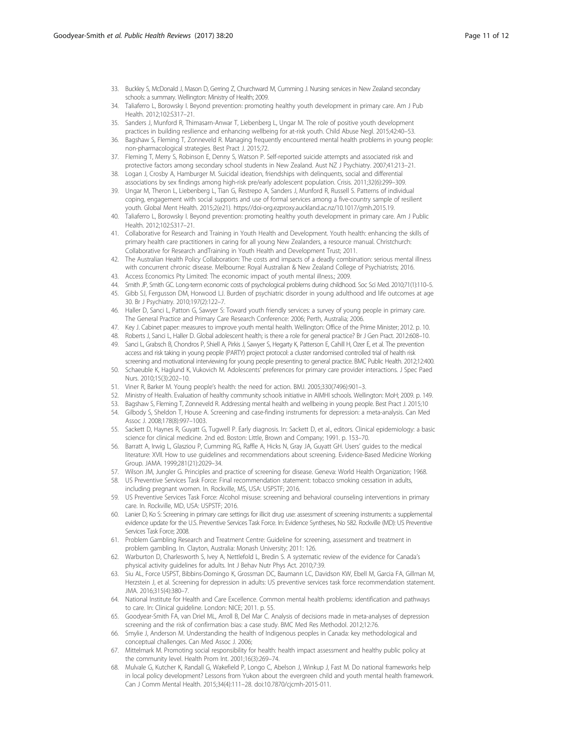- <span id="page-10-0"></span>33. Buckley S, McDonald J, Mason D, Gerring Z, Churchward M, Cumming J. Nursing services in New Zealand secondary schools: a summary. Wellington: Ministry of Health; 2009.
- 34. Taliaferro L, Borowsky I. Beyond prevention: promoting healthy youth development in primary care. Am J Pub Health. 2012;102:S317–21.
- 35. Sanders J, Munford R, Thimasarn-Anwar T, Liebenberg L, Ungar M. The role of positive youth development practices in building resilience and enhancing wellbeing for at-risk youth. Child Abuse Negl. 2015;42:40–53.
- 36. Bagshaw S, Fleming T, Zonneveld R. Managing frequently encountered mental health problems in young people: non-pharmacological strategies. Best Pract J. 2015;72.
- 37. Fleming T, Merry S, Robinson E, Denny S, Watson P. Self-reported suicide attempts and associated risk and protective factors among secondary school students in New Zealand. Aust NZ J Psychiatry. 2007;41:213–21.
- 38. Logan J, Crosby A, Hamburger M. Suicidal ideation, friendships with delinquents, social and differential associations by sex findings among high-risk pre/early adolescent population. Crisis. 2011;32(6):299–309.
- 39. Ungar M, Theron L, Liebenberg L, Tian G, Restrepo A, Sanders J, Munford R, Russell S. Patterns of individual coping, engagement with social supports and use of formal services among a five-country sample of resilient youth. Global Ment Health. 2015;2(e21). [https://doi-org.ezproxy.auckland.ac.nz/10.1017/gmh.2015.19.](https://doi-org.ezproxy.auckland.ac.nz/10.1017/gmh.2015.19)
- 40. Taliaferro L, Borowsky I. Beyond prevention: promoting healthy youth development in primary care. Am J Public Health. 2012;102:S317–21.
- 41. Collaborative for Research and Training in Youth Health and Development. Youth health: enhancing the skills of primary health care practitioners in caring for all young New Zealanders, a resource manual. Christchurch: Collaborative for Research andTraining in Youth Health and Development Trust; 2011.
- 42. The Australian Health Policy Collaboration: The costs and impacts of a deadly combination: serious mental illness with concurrent chronic disease. Melbourne: Royal Australian & New Zealand College of Psychiatrists; 2016.
- 43. Access Economics Pty Limited: The economic impact of youth mental illness.; 2009.
- 44. Smith JP, Smith GC. Long-term economic costs of psychological problems during childhood. Soc Sci Med. 2010;71(1):110–5.
- 45. Gibb SJ, Fergusson DM, Horwood LJ. Burden of psychiatric disorder in young adulthood and life outcomes at age 30. Br J Psychiatry. 2010;197(2):122–7.
- 46. Haller D, Sanci L, Patton G, Sawyer S: Toward youth friendly services: a survey of young people in primary care. The General Practice and Primary Care Research Conference: 2006; Perth, Australia; 2006.
- 47. Key J. Cabinet paper: measures to improve youth mental health. Wellington: Office of the Prime Minister; 2012. p. 10.
- 48. Roberts J, Sanci L, Haller D. Global adolescent health; is there a role for general practice? Br J Gen Pract. 2012:608–10.
- 49. Sanci L, Grabsch B, Chondros P, Shiell A, Pirkis J, Sawyer S, Hegarty K, Patterson E, Cahill H, Ozer E, et al. The prevention access and risk taking in young people (PARTY) project protocol: a cluster randomised controlled trial of health risk screening and motivational interviewing for young people presenting to general practice. BMC Public Health. 2012;12:400.
- 50. Schaeuble K, Haglund K, Vukovich M. Adolescents' preferences for primary care provider interactions. J Spec Paed Nurs. 2010;15(3):202–10.
- 51. Viner R, Barker M. Young people's health: the need for action. BMJ. 2005;330(7496):901–3.
- 52. Ministry of Health. Evaluation of healthy community schools initiative in AIMHI schools. Wellington: MoH; 2009. p. 149.
- 53. Bagshaw S, Fleming T, Zonneveld R. Addressing mental health and wellbeing in young people. Best Pract J. 2015;10
- 54. Gilbody S, Sheldon T, House A. Screening and case-finding instruments for depression: a meta-analysis. Can Med Assoc J. 2008;178(8):997–1003.
- 55. Sackett D, Haynes R, Guyatt G, Tugwell P. Early diagnosis. In: Sackett D, et al., editors. Clinical epidemiology: a basic science for clinical medicine. 2nd ed. Boston: Little, Brown and Company; 1991. p. 153–70.
- 56. Barratt A, Irwig L, Glasziou P, Cumming RG, Raffle A, Hicks N, Gray JA, Guyatt GH. Users' guides to the medical literature: XVII. How to use guidelines and recommendations about screening. Evidence-Based Medicine Working Group. JAMA. 1999;281(21):2029–34.
- 57. Wilson JM, Jungler G. Principles and practice of screening for disease. Geneva: World Health Organization; 1968.
- 58. US Preventive Services Task Force: Final recommendation statement: tobacco smoking cessation in adults, including pregnant women. In. Rockville, MS, USA: USPSTF; 2016.
- 59. US Preventive Services Task Force: Alcohol misuse: screening and behavioral counseling interventions in primary care. In. Rockville, MD, USA: USPSTF; 2016.
- 60. Lanier D, Ko S: Screening in primary care settings for illicit drug use: assessment of screening instruments: a supplemental evidence update for the U.S. Preventive Services Task Force. In: Evidence Syntheses, No 582. Rockville (MD): US Preventive Services Task Force; 2008.
- 61. Problem Gambling Research and Treatment Centre: Guideline for screening, assessment and treatment in problem gambling. In. Clayton, Australia: Monash University; 2011: 126.
- 62. Warburton D, Charlesworth S, Ivey A, Nettlefold L, Bredin S. A systematic review of the evidence for Canada's physical activity guidelines for adults. Int J Behav Nutr Phys Act. 2010;7:39.
- 63. Siu AL, Force USPST, Bibbins-Domingo K, Grossman DC, Baumann LC, Davidson KW, Ebell M, Garcia FA, Gillman M, Herzstein J, et al. Screening for depression in adults: US preventive services task force recommendation statement. JMA. 2016;315(4):380–7.
- 64. National Institute for Health and Care Excellence. Common mental health problems: identification and pathways to care. In: Clinical guideline. London: NICE; 2011. p. 55.
- 65. Goodyear-Smith FA, van Driel ML, Arroll B, Del Mar C. Analysis of decisions made in meta-analyses of depression screening and the risk of confirmation bias: a case study. BMC Med Res Methodol. 2012;12:76.
- 66. Smylie J, Anderson M. Understanding the health of Indigenous peoples in Canada: key methodological and conceptual challenges. Can Med Assoc J. 2006;
- 67. Mittelmark M. Promoting social responsibility for health: health impact assessment and healthy public policy at the community level. Health Prom Int. 2001;16(3):269–74.
- 68. Mulvale G, Kutcher K, Randall G, Wakefield P, Longo C, Abelson J, Winkup J, Fast M. Do national frameworks help in local policy development? Lessons from Yukon about the evergreen child and youth mental health framework. Can J Comm Mental Health. 2015;34(4):111–28. doi[:10.7870/cjcmh-2015-011.](http://dx.doi.org/10.7870/cjcmh-2015-011)